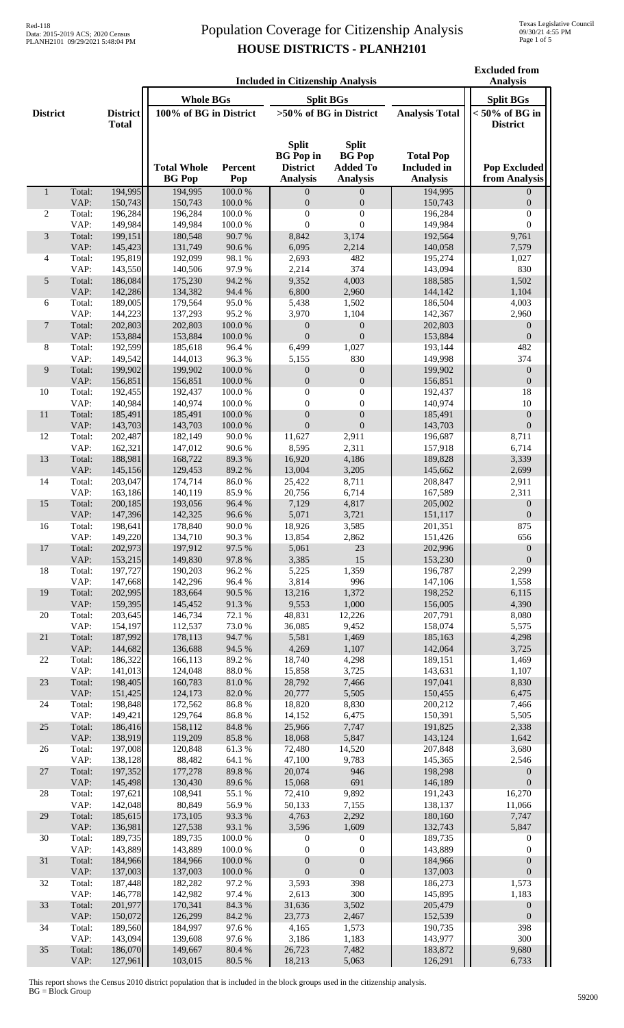**Excluded from** 

|                 | <b>Included in Citizenship Analysis</b> |                                 |                          |                  |                                                     |                                                  |                                        | <b>Analysis</b>                      |
|-----------------|-----------------------------------------|---------------------------------|--------------------------|------------------|-----------------------------------------------------|--------------------------------------------------|----------------------------------------|--------------------------------------|
|                 |                                         |                                 | <b>Whole BGs</b>         |                  |                                                     | <b>Split BGs</b>                                 |                                        | <b>Split BGs</b>                     |
| <b>District</b> |                                         | <b>District</b><br><b>Total</b> | 100% of BG in District   |                  |                                                     | $>50\%$ of BG in District                        | <b>Analysis Total</b>                  | $< 50\%$ of BG in<br><b>District</b> |
|                 |                                         |                                 | <b>Total Whole</b>       | Percent          | <b>Split</b><br><b>BG</b> Pop in<br><b>District</b> | <b>Split</b><br><b>BG</b> Pop<br><b>Added To</b> | <b>Total Pop</b><br><b>Included</b> in | <b>Pop Excluded</b>                  |
| $\mathbf{1}$    | Total:                                  | 194,995                         | <b>BG</b> Pop<br>194,995 | Pop<br>100.0%    | <b>Analysis</b><br>$\overline{0}$                   | <b>Analysis</b><br>$\overline{0}$                | <b>Analysis</b><br>194,995             | from Analysis<br>$\Omega$            |
|                 | VAP:                                    | 150,743                         | 150,743                  | 100.0%           | $\boldsymbol{0}$                                    | $\boldsymbol{0}$                                 | 150,743                                | $\boldsymbol{0}$                     |
| 2               | Total:                                  | 196,284                         | 196,284                  | 100.0%           | $\boldsymbol{0}$                                    | $\boldsymbol{0}$                                 | 196,284                                | $\boldsymbol{0}$                     |
|                 | VAP:                                    | 149,984                         | 149,984                  | 100.0%           | $\boldsymbol{0}$                                    | $\boldsymbol{0}$                                 | 149,984                                | $\boldsymbol{0}$                     |
| 3               | Total:<br>VAP:                          | 199,151<br>145,423              | 180,548<br>131,749       | 90.7%<br>90.6%   | 8,842<br>6,095                                      | 3,174<br>2,214                                   | 192,564<br>140,058                     | 9,761<br>7,579                       |
| 4               | Total:                                  | 195,819                         | 192,099                  | 98.1 %           | 2,693                                               | 482                                              | 195,274                                | 1,027                                |
|                 | VAP:                                    | 143,550                         | 140,506                  | 97.9%            | 2,214                                               | 374                                              | 143,094                                | 830                                  |
| 5               | Total:                                  | 186,084                         | 175,230                  | 94.2 %           | 9,352                                               | 4,003                                            | 188,585                                | 1,502                                |
|                 | VAP:                                    | 142,286                         | 134,382                  | 94.4 %           | 6,800                                               | 2,960                                            | 144,142                                | 1,104                                |
| 6               | Total:<br>VAP:                          | 189,005<br>144,223              | 179,564<br>137,293       | 95.0%<br>95.2%   | 5,438<br>3,970                                      | 1,502<br>1,104                                   | 186,504                                | 4,003<br>2,960                       |
| 7               | Total:                                  | 202,803                         | 202,803                  | $100.0~\%$       | $\boldsymbol{0}$                                    | $\boldsymbol{0}$                                 | 142,367<br>202,803                     | $\boldsymbol{0}$                     |
|                 | VAP:                                    | 153,884                         | 153,884                  | $100.0~\%$       | $\boldsymbol{0}$                                    | $\boldsymbol{0}$                                 | 153,884                                | $\boldsymbol{0}$                     |
| 8               | Total:                                  | 192,599                         | 185,618                  | 96.4%            | 6,499                                               | 1,027                                            | 193,144                                | 482                                  |
|                 | VAP:                                    | 149,542                         | 144,013                  | 96.3%            | 5,155                                               | 830                                              | 149,998                                | 374                                  |
| 9               | Total:<br>VAP:                          | 199,902                         | 199,902                  | 100.0%           | $\mathbf{0}$                                        | $\boldsymbol{0}$                                 | 199,902                                | $\mathbf{0}$                         |
| 10              | Total:                                  | 156,851<br>192,455              | 156,851<br>192,437       | 100.0%<br>100.0% | $\boldsymbol{0}$<br>$\boldsymbol{0}$                | $\boldsymbol{0}$<br>$\boldsymbol{0}$             | 156,851<br>192,437                     | $\boldsymbol{0}$<br>18               |
|                 | VAP:                                    | 140,984                         | 140,974                  | 100.0%           | $\mathbf{0}$                                        | $\boldsymbol{0}$                                 | 140,974                                | 10                                   |
| 11              | Total:                                  | 185,491                         | 185,491                  | 100.0%           | $\boldsymbol{0}$                                    | $\boldsymbol{0}$                                 | 185,491                                | $\boldsymbol{0}$                     |
|                 | VAP:                                    | 143,703                         | 143,703                  | 100.0%           | $\boldsymbol{0}$                                    | $\boldsymbol{0}$                                 | 143,703                                | $\boldsymbol{0}$                     |
| 12              | Total:                                  | 202,487                         | 182,149                  | 90.0%            | 11,627                                              | 2,911                                            | 196,687                                | 8,711                                |
| 13              | VAP:<br>Total:                          | 162,321<br>188,981              | 147,012<br>168,722       | 90.6%<br>89.3%   | 8,595<br>16,920                                     | 2,311<br>4,186                                   | 157,918<br>189,828                     | 6,714<br>3,339                       |
|                 | VAP:                                    | 145,156                         | 129,453                  | 89.2%            | 13,004                                              | 3,205                                            | 145,662                                | 2,699                                |
| 14              | Total:                                  | 203,047                         | 174,714                  | 86.0%            | 25,422                                              | 8,711                                            | 208,847                                | 2,911                                |
|                 | VAP:                                    | 163,186                         | 140,119                  | 85.9%            | 20,756                                              | 6,714                                            | 167,589                                | 2,311                                |
| 15              | Total:                                  | 200,185                         | 193,056                  | 96.4%            | 7,129                                               | 4,817                                            | 205,002                                | $\boldsymbol{0}$                     |
| 16              | VAP:<br>Total:                          | 147,396<br>198,641              | 142,325<br>178,840       | 96.6%<br>90.0%   | 5,071<br>18,926                                     | 3,721<br>3,585                                   | 151,117<br>201,351                     | $\boldsymbol{0}$<br>875              |
|                 | VAP:                                    | 149,220                         | 134,710                  | 90.3%            | 13,854                                              | 2,862                                            | 151,426                                | 656                                  |
| 17              | Total:                                  | 202,973                         | 197,912                  | 97.5 %           | 5,061                                               | 23                                               | 202,996                                | $\mathbf{0}$                         |
|                 | VAP:                                    | 153,215                         | 149,830                  | 97.8 %           | 3,385                                               | 15                                               | 153,230                                | $\boldsymbol{0}$                     |
| 18              | Total:                                  | 197,727                         | 190,203                  | 96.2%            | 5,225                                               | 1,359                                            | 196,787                                | 2,299                                |
| 19              | VAP:<br>Total:                          | 147,668<br>202,995              | 142,296<br>183,664       | 96.4%<br>90.5 %  | 3,814<br>13,216                                     | 996<br>1,372                                     | 147,106<br>198,252                     | 1,558<br>6,115                       |
|                 | VAP:                                    | 159,395                         | 145,452                  | 91.3%            | 9,553                                               | 1,000                                            | 156,005                                | 4,390                                |
| 20              | Total:                                  | 203,645                         | 146,734                  | 72.1 %           | 48,831                                              | 12,226                                           | 207,791                                | 8,080                                |
|                 | VAP:                                    | 154,197                         | 112,537                  | 73.0%            | 36,085                                              | 9,452                                            | 158,074                                | 5,575                                |
| 21              | Total:                                  | 187,992                         | 178,113                  | 94.7%            | 5,581                                               | 1,469                                            | 185,163                                | 4,298                                |
| 22              | VAP:<br>Total:                          | 144,682<br>186,322              | 136,688<br>166,113       | 94.5 %<br>89.2%  | 4,269<br>18,740                                     | 1,107<br>4,298                                   | 142,064<br>189,151                     | 3,725<br>1,469                       |
|                 | VAP:                                    | 141,013                         | 124,048                  | 88.0%            | 15,858                                              | 3,725                                            | 143,631                                | 1,107                                |
| 23              | Total:                                  | 198,405                         | 160,783                  | 81.0%            | 28,792                                              | 7,466                                            | 197,041                                | 8,830                                |
|                 | VAP:                                    | 151,425                         | 124,173                  | 82.0 %           | 20,777                                              | 5,505                                            | 150,455                                | 6,475                                |
| 24              | Total:                                  | 198,848                         | 172,562                  | 86.8%            | 18,820                                              | 8,830                                            | 200,212                                | 7,466                                |
| 25              | VAP:<br>Total:                          | 149,421<br>186,416              | 129,764<br>158,112       | 86.8%<br>84.8 %  | 14,152<br>25,966                                    | 6,475<br>7,747                                   | 150,391<br>191,825                     | 5,505<br>2,338                       |
|                 | VAP:                                    | 138,919                         | 119,209                  | 85.8%            | 18,068                                              | 5,847                                            | 143,124                                | 1,642                                |
| 26              | Total:                                  | 197,008                         | 120,848                  | 61.3%            | 72,480                                              | 14,520                                           | 207,848                                | 3,680                                |
|                 | VAP:                                    | 138,128                         | 88,482                   | 64.1 %           | 47,100                                              | 9,783                                            | 145,365                                | 2,546                                |
| 27              | Total:                                  | 197,352                         | 177,278                  | 89.8%            | 20,074                                              | 946                                              | 198,298                                | $\boldsymbol{0}$                     |
| 28              | VAP:<br>Total:                          | 145,498<br>197,621              | 130,430<br>108,941       | 89.6%<br>55.1 %  | 15,068<br>72,410                                    | 691<br>9,892                                     | 146,189<br>191,243                     | $\boldsymbol{0}$<br>16,270           |
|                 | VAP:                                    | 142,048                         | 80,849                   | 56.9%            | 50,133                                              | 7,155                                            | 138,137                                | 11,066                               |
| 29              | Total:                                  | 185,615                         | 173,105                  | 93.3%            | 4,763                                               | 2,292                                            | 180,160                                | 7,747                                |
|                 | VAP:                                    | 136,981                         | 127,538                  | 93.1 %           | 3,596                                               | 1,609                                            | 132,743                                | 5,847                                |
| 30              | Total:                                  | 189,735                         | 189,735                  | 100.0%           | $\boldsymbol{0}$                                    | $\boldsymbol{0}$                                 | 189,735                                | 0                                    |
| 31              | VAP:<br>Total:                          | 143,889<br>184,966              | 143,889<br>184,966       | 100.0%<br>100.0% | $\boldsymbol{0}$<br>$\boldsymbol{0}$                | $\boldsymbol{0}$<br>$\boldsymbol{0}$             | 143,889<br>184,966                     | 0<br>$\boldsymbol{0}$                |
|                 | VAP:                                    | 137,003                         | 137,003                  | 100.0%           | $\boldsymbol{0}$                                    | $\boldsymbol{0}$                                 | 137,003                                | $\boldsymbol{0}$                     |
| 32              | Total:                                  | 187,448                         | 182,282                  | 97.2%            | 3,593                                               | 398                                              | 186,273                                | 1,573                                |
|                 | VAP:                                    | 146,778                         | 142,982                  | 97.4 %           | 2,613                                               | 300                                              | 145,895                                | 1,183                                |
| 33              | Total:<br>VAP:                          | 201,977<br>150,072              | 170,341<br>126,299       | 84.3 %<br>84.2 % | 31,636                                              | 3,502                                            | 205,479                                | $\boldsymbol{0}$                     |
| 34              | Total:                                  | 189,560                         | 184,997                  | 97.6%            | 23,773<br>4,165                                     | 2,467<br>1,573                                   | 152,539<br>190,735                     | $\boldsymbol{0}$<br>398              |
|                 | VAP:                                    | 143,094                         | 139,608                  | 97.6%            | 3,186                                               | 1,183                                            | 143,977                                | 300                                  |
| 35              | Total:                                  | 186,070                         | 149,667                  | 80.4%            | 26,723                                              | 7,482                                            | 183,872                                | 9,680                                |
|                 | VAP:                                    | 127,961                         | 103,015                  | 80.5 %           | 18,213                                              | 5,063                                            | 126,291                                | 6,733                                |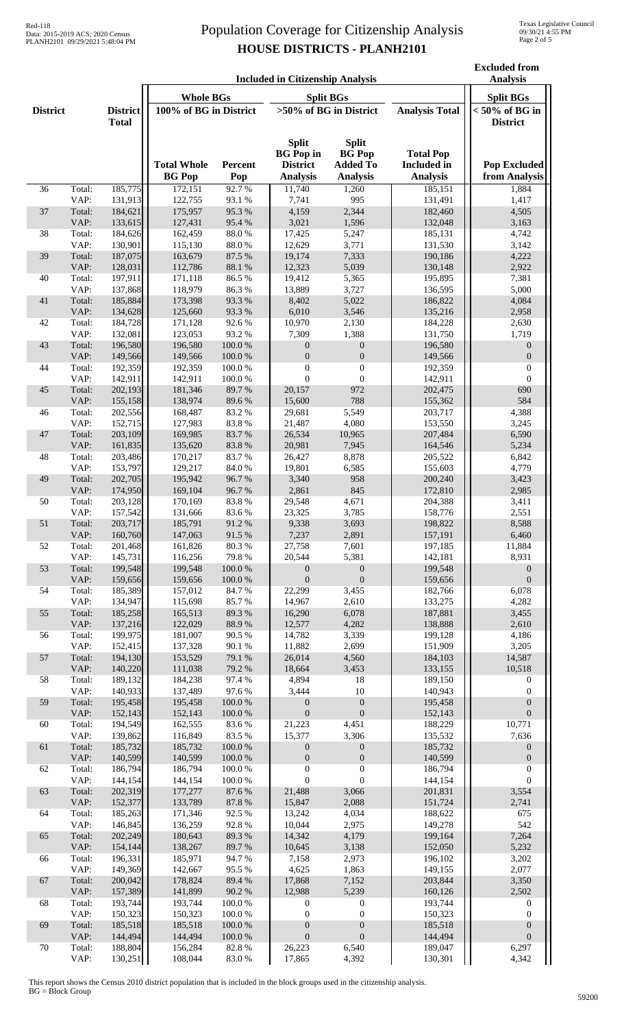|                 | <b>Included in Citizenship Analysis</b> |                                 |                                     |                          |                                                                        |                                                                     |                                                           | <b>Excluded from</b><br><b>Analysis</b> |
|-----------------|-----------------------------------------|---------------------------------|-------------------------------------|--------------------------|------------------------------------------------------------------------|---------------------------------------------------------------------|-----------------------------------------------------------|-----------------------------------------|
|                 |                                         |                                 | <b>Whole BGs</b>                    |                          | <b>Split BGs</b>                                                       | <b>Split BGs</b>                                                    |                                                           |                                         |
| <b>District</b> |                                         | <b>District</b><br><b>Total</b> | 100% of BG in District              |                          | >50% of BG in District                                                 |                                                                     | <b>Analysis Total</b>                                     | $< 50\%$ of BG in<br><b>District</b>    |
|                 |                                         |                                 | <b>Total Whole</b><br><b>BG</b> Pop | Percent<br>Pop           | <b>Split</b><br><b>BG</b> Pop in<br><b>District</b><br><b>Analysis</b> | <b>Split</b><br><b>BG</b> Pop<br><b>Added To</b><br><b>Analysis</b> | <b>Total Pop</b><br><b>Included</b> in<br><b>Analysis</b> | <b>Pop Excluded</b><br>from Analysis    |
| 36              | Total:                                  | 185,775                         | 172,151                             | 92.7%                    | 11,740                                                                 | 1,260                                                               | 185,151                                                   | 1,884                                   |
| 37              | VAP:<br>Total:                          | 131,913<br>184,621              | 122,755<br>175,957                  | 93.1%<br>95.3%           | 7,741<br>4,159                                                         | 995<br>2,344                                                        | 131,491<br>182,460                                        | 1,417<br>4,505                          |
|                 | VAP:                                    | 133,615                         | 127,431                             | 95.4%                    | 3,021                                                                  | 1,596                                                               | 132,048                                                   | 3,163                                   |
| 38              | Total:                                  | 184,626                         | 162,459                             | 88.0%                    | 17,425                                                                 | 5,247                                                               | 185,131                                                   | 4,742                                   |
|                 | VAP:                                    | 130,901                         | 115,130                             | 88.0%                    | 12,629                                                                 | 3,771                                                               | 131,530                                                   | 3,142                                   |
| 39              | Total:                                  | 187,075                         | 163,679                             | 87.5 %<br>88.1 %         | 19,174                                                                 | 7,333                                                               | 190,186                                                   | 4,222                                   |
| 40              | VAP:<br>Total:                          | 128,031<br>197,911              | 112,786<br>171,118                  | 86.5%                    | 12,323<br>19,412                                                       | 5,039<br>5,365                                                      | 130,148<br>195,895                                        | 2,922<br>7,381                          |
|                 | VAP:                                    | 137,868                         | 118,979                             | 86.3%                    | 13,889                                                                 | 3,727                                                               | 136,595                                                   | 5,000                                   |
| 41              | Total:                                  | 185,884                         | 173,398                             | 93.3%                    | 8,402                                                                  | 5,022                                                               | 186,822                                                   | 4,084                                   |
|                 | VAP:                                    | 134,628                         | 125,660                             | 93.3%                    | 6,010                                                                  | 3,546                                                               | 135,216                                                   | 2,958                                   |
| 42              | Total:<br>VAP:                          | 184,728<br>132,081              | 171,128<br>123,053                  | 92.6%<br>93.2%           | 10,970<br>7,309                                                        | 2,130<br>1,388                                                      | 184,228<br>131,750                                        | 2,630<br>1,719                          |
| 43              | Total:                                  | 196,580                         | 196,580                             | 100.0%                   | $\mathbf{0}$                                                           | $\mathbf{0}$                                                        | 196,580                                                   | $\mathbf{0}$                            |
|                 | VAP:                                    | 149,566                         | 149,566                             | 100.0%                   | $\mathbf{0}$                                                           | $\boldsymbol{0}$                                                    | 149,566                                                   | $\boldsymbol{0}$                        |
| 44              | Total:                                  | 192,359                         | 192,359                             | 100.0%                   | $\boldsymbol{0}$                                                       | $\boldsymbol{0}$                                                    | 192,359                                                   | $\boldsymbol{0}$                        |
|                 | VAP:                                    | 142,911                         | 142,911                             | 100.0%                   | $\mathbf{0}$                                                           | $\theta$                                                            | 142,911                                                   | $\Omega$                                |
| 45              | Total:<br>VAP:                          | 202,193<br>155,158              | 181,346<br>138,974                  | 89.7%<br>89.6%           | 20,157<br>15,600                                                       | 972<br>788                                                          | 202,475<br>155,362                                        | 690<br>584                              |
| 46              | Total:                                  | 202,556                         | 168,487                             | 83.2%                    | 29,681                                                                 | 5,549                                                               | 203,717                                                   | 4,388                                   |
|                 | VAP:                                    | 152,715                         | 127,983                             | 83.8%                    | 21,487                                                                 | 4,080                                                               | 153,550                                                   | 3,245                                   |
| 47              | Total:                                  | 203,109                         | 169,985                             | 83.7%                    | 26,534                                                                 | 10,965                                                              | 207,484                                                   | 6,590                                   |
| 48              | VAP:<br>Total:                          | 161,835<br>203,486              | 135,620<br>170,217                  | 83.8%<br>83.7%           | 20,981<br>26,427                                                       | 7,945<br>8,878                                                      | 164,546<br>205,522                                        | 5,234<br>6,842                          |
|                 | VAP:                                    | 153,797                         | 129,217                             | 84.0%                    | 19,801                                                                 | 6,585                                                               | 155,603                                                   | 4,779                                   |
| 49              | Total:                                  | 202,705                         | 195,942                             | 96.7%                    | 3,340                                                                  | 958                                                                 | 200,240                                                   | 3,423                                   |
|                 | VAP:                                    | 174,950                         | 169,104                             | 96.7%                    | 2,861                                                                  | 845                                                                 | 172,810                                                   | 2,985                                   |
| 50              | Total:                                  | 203,128                         | 170,169                             | 83.8%                    | 29,548                                                                 | 4,671                                                               | 204,388                                                   | 3,411                                   |
| 51              | VAP:<br>Total:                          | 157,542<br>203,717              | 131,666<br>185,791                  | 83.6%<br>91.2%           | 23,325<br>9,338                                                        | 3,785<br>3,693                                                      | 158,776<br>198,822                                        | 2,551<br>8,588                          |
|                 | VAP:                                    | 160,760                         | 147,063                             | 91.5%                    | 7,237                                                                  | 2,891                                                               | 157,191                                                   | 6,460                                   |
| 52              | Total:                                  | 201,468                         | 161,826                             | 80.3 %                   | 27,758                                                                 | 7,601                                                               | 197,185                                                   | 11,884                                  |
|                 | VAP:                                    | 145,731                         | 116,256                             | 79.8%                    | 20,544                                                                 | 5,381                                                               | 142,181                                                   | 8,931                                   |
| 53              | Total:<br>VAP:                          | 199,548<br>159,656              | 199,548<br>159,656                  | 100.0%<br>$100.0~\%$     | $\boldsymbol{0}$<br>$\boldsymbol{0}$                                   | $\boldsymbol{0}$<br>$\boldsymbol{0}$                                | 199,548<br>159,656                                        | $\boldsymbol{0}$<br>$\boldsymbol{0}$    |
| 54              | Total:                                  | 185,389                         | 157,012                             | 84.7%                    | 22,299                                                                 | 3,455                                                               | 182,766                                                   | 6,078                                   |
|                 | VAP:                                    | 134,947                         | 115,698                             | 85.7%                    | 14,967                                                                 | 2,610                                                               | 133,275                                                   | 4,282                                   |
| 55              | Total:                                  | 185,258                         | 165,513                             | 89.3%                    | 16,290                                                                 | 6,078                                                               | 187,881                                                   | 3,455                                   |
| 56              | VAP:<br>Total:                          | 137,216<br>199,975              | 122,029<br>181,007                  | 88.9%<br>90.5 %          | 12,577<br>14,782                                                       | 4,282<br>3,339                                                      | 138,888<br>199,128                                        | 2,610<br>4,186                          |
|                 | VAP:                                    | 152,415                         | 137,328                             | 90.1%                    | 11,882                                                                 | 2,699                                                               | 151,909                                                   | 3,205                                   |
| 57              | Total:                                  | 194,130                         | 153,529                             | 79.1 %                   | 26,014                                                                 | 4,560                                                               | 184,103                                                   | 14,587                                  |
|                 | VAP:                                    | 140,220                         | 111,038                             | 79.2 %                   | 18,664                                                                 | 3,453                                                               | 133,155                                                   | 10,518                                  |
| 58              | Total:<br>VAP:                          | 189,132<br>140,933              | 184,238<br>137,489                  | 97.4 %<br>97.6%          | 4,894<br>3,444                                                         | $18\,$<br>$10\,$                                                    | 189,150<br>140,943                                        | $\boldsymbol{0}$<br>$\boldsymbol{0}$    |
| 59              | Total:                                  | 195,458                         | 195,458                             | $100.0~\%$               | $\boldsymbol{0}$                                                       | $\boldsymbol{0}$                                                    | 195,458                                                   | $\boldsymbol{0}$                        |
|                 | VAP:                                    | 152,143                         | 152,143                             | $100.0~\%$               | $\boldsymbol{0}$                                                       | $\mathbf{0}$                                                        | 152,143                                                   | $\boldsymbol{0}$                        |
| 60              | Total:                                  | 194,549                         | 162,555                             | 83.6%                    | 21,223                                                                 | 4,451                                                               | 188,229                                                   | 10,771                                  |
|                 | VAP:<br>Total:                          | 139,862<br>185,732              | 116,849<br>185,732                  | 83.5%                    | 15,377                                                                 | 3,306                                                               | 135,532<br>185,732                                        | 7,636<br>$\boldsymbol{0}$               |
| 61              | VAP:                                    | 140,599                         | 140,599                             | $100.0~\%$<br>$100.0~\%$ | $\boldsymbol{0}$<br>$\boldsymbol{0}$                                   | $\boldsymbol{0}$<br>$\boldsymbol{0}$                                | 140,599                                                   | $\boldsymbol{0}$                        |
| 62              | Total:                                  | 186,794                         | 186,794                             | $100.0~\%$               | $\boldsymbol{0}$                                                       | $\boldsymbol{0}$                                                    | 186,794                                                   | $\boldsymbol{0}$                        |
|                 | VAP:                                    | 144,154                         | 144,154                             | 100.0%                   | $\mathbf{0}$                                                           | $\mathbf{0}$                                                        | 144,154                                                   | $\mathbf{0}$                            |
| 63              | Total:                                  | 202,319                         | 177,277                             | 87.6%                    | 21,488                                                                 | 3,066                                                               | 201,831                                                   | 3,554                                   |
| 64              | VAP:<br>Total:                          | 152,377<br>185,263              | 133,789<br>171,346                  | 87.8 %<br>92.5 %         | 15,847<br>13,242                                                       | 2,088<br>4,034                                                      | 151,724<br>188,622                                        | 2,741<br>675                            |
|                 | VAP:                                    | 146,845                         | 136,259                             | 92.8%                    | 10,044                                                                 | 2,975                                                               | 149,278                                                   | 542                                     |
| 65              | Total:                                  | 202,249                         | 180,643                             | 89.3%                    | 14,342                                                                 | 4,179                                                               | 199,164                                                   | 7,264                                   |
|                 | VAP:                                    | 154,144                         | 138,267                             | 89.7%                    | 10,645                                                                 | 3,138                                                               | 152,050                                                   | 5,232                                   |
| 66              | Total:<br>VAP:                          | 196,331<br>149,369              | 185,971<br>142,667                  | 94.7%<br>95.5%           | 7,158<br>4,625                                                         | 2,973<br>1,863                                                      | 196,102<br>149,155                                        | 3,202<br>2,077                          |
| 67              | Total:                                  | 200,042                         | 178,824                             | 89.4%                    | 17,868                                                                 | 7,152                                                               | 203,844                                                   | 3,350                                   |
|                 | VAP:                                    | 157,389                         | 141,899                             | 90.2%                    | 12,988                                                                 | 5,239                                                               | 160,126                                                   | 2,502                                   |
| 68              | Total:                                  | 193,744                         | 193,744                             | 100.0%                   | $\boldsymbol{0}$                                                       | $\boldsymbol{0}$                                                    | 193,744                                                   | $\boldsymbol{0}$                        |
| 69              | VAP:<br>Total:                          | 150,323<br>185,518              | 150,323<br>185,518                  | 100.0%<br>100.0%         | $\boldsymbol{0}$<br>$\boldsymbol{0}$                                   | $\boldsymbol{0}$<br>$\boldsymbol{0}$                                | 150,323<br>185,518                                        | $\boldsymbol{0}$<br>$\boldsymbol{0}$    |
|                 | VAP:                                    | 144,494                         | 144,494                             | $100.0~\%$               | $\boldsymbol{0}$                                                       | $\mathbf{0}$                                                        | 144,494                                                   | $\boldsymbol{0}$                        |
| 70              | Total:                                  | 188,804                         | 156,284                             | 82.8%                    | 26,223                                                                 | 6,540                                                               | 189,047                                                   | 6,297                                   |
|                 | VAP:                                    | 130,251                         | 108,044                             | 83.0%                    | 17,865                                                                 | 4,392                                                               | 130,301                                                   | 4,342                                   |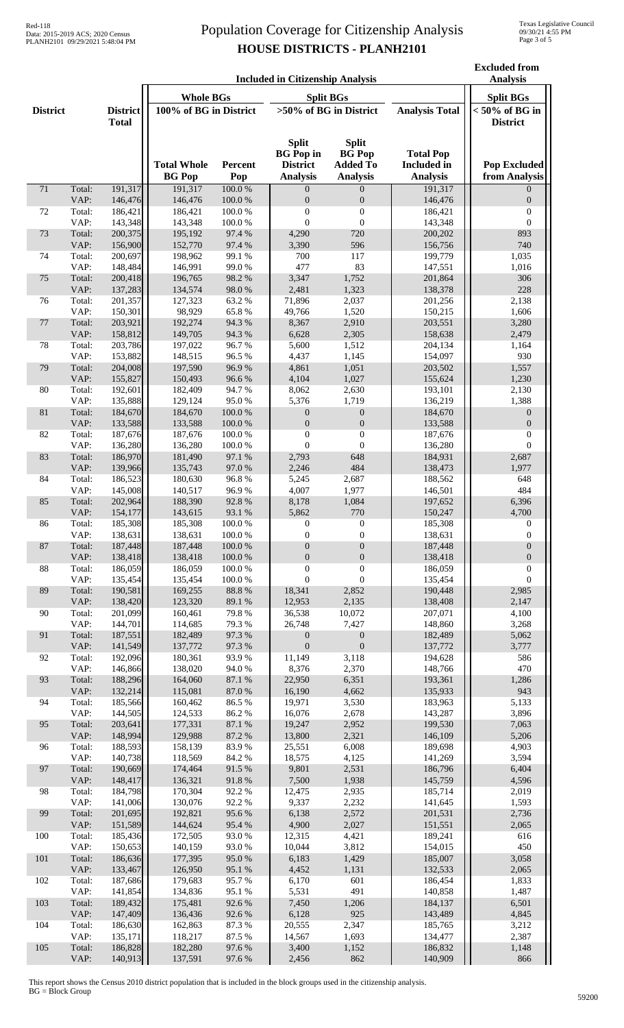| <b>Included in Citizenship Analysis</b> |                |                                 |                                                |                           |                                                                        |                                                                     |                                                           | <b>Excluded from</b><br><b>Analysis</b> |
|-----------------------------------------|----------------|---------------------------------|------------------------------------------------|---------------------------|------------------------------------------------------------------------|---------------------------------------------------------------------|-----------------------------------------------------------|-----------------------------------------|
|                                         |                |                                 | <b>Whole BGs</b>                               |                           | <b>Split BGs</b>                                                       | <b>Split BGs</b>                                                    |                                                           |                                         |
| <b>District</b>                         |                | <b>District</b><br><b>Total</b> | 100% of BG in District                         |                           | >50% of BG in District                                                 |                                                                     | <b>Analysis Total</b>                                     | $< 50\%$ of BG in<br><b>District</b>    |
| 71                                      | Total:         |                                 | <b>Total Whole</b><br><b>BG</b> Pop<br>191,317 | Percent<br>Pop<br>100.0%  | <b>Split</b><br><b>BG</b> Pop in<br><b>District</b><br><b>Analysis</b> | <b>Split</b><br><b>BG</b> Pop<br><b>Added To</b><br><b>Analysis</b> | <b>Total Pop</b><br><b>Included</b> in<br><b>Analysis</b> | <b>Pop Excluded</b><br>from Analysis    |
|                                         | VAP:           | 191,317<br>146,476              | 146,476                                        | $100.0~\%$                | $\theta$<br>$\boldsymbol{0}$                                           | $\Omega$<br>$\boldsymbol{0}$                                        | 191,317<br>146,476                                        | $\Omega$<br>$\boldsymbol{0}$            |
| 72                                      | Total:         | 186,421                         | 186,421                                        | 100.0%                    | $\boldsymbol{0}$                                                       | $\boldsymbol{0}$                                                    | 186,421                                                   | $\boldsymbol{0}$                        |
|                                         | VAP:           | 143,348                         | 143,348                                        | 100.0%                    | $\mathbf{0}$                                                           | $\theta$                                                            | 143,348                                                   | $\mathbf{0}$                            |
| 73                                      | Total:<br>VAP: | 200,375<br>156,900              | 195,192<br>152,770                             | 97.4 %<br>97.4 %          | 4,290<br>3,390                                                         | 720<br>596                                                          | 200,202<br>156,756                                        | 893<br>740                              |
| 74                                      | Total:         | 200,697                         | 198,962                                        | 99.1 %                    | 700                                                                    | 117                                                                 | 199,779                                                   | 1,035                                   |
|                                         | VAP:           | 148,484                         | 146,991                                        | 99.0%                     | 477                                                                    | 83                                                                  | 147,551                                                   | 1,016                                   |
| 75                                      | Total:<br>VAP: | 200,418<br>137,283              | 196,765<br>134,574                             | 98.2%<br>98.0%            | 3,347<br>2,481                                                         | 1,752<br>1,323                                                      | 201,864<br>138,378                                        | 306<br>228                              |
| 76                                      | Total:         | 201,357                         | 127,323                                        | 63.2%                     | 71,896                                                                 | 2,037                                                               | 201,256                                                   | 2,138                                   |
|                                         | VAP:           | 150,301                         | 98,929                                         | 65.8%                     | 49,766                                                                 | 1,520                                                               | 150,215                                                   | 1,606                                   |
| $77\,$                                  | Total:         | 203,921                         | 192,274                                        | 94.3%<br>94.3%            | 8,367                                                                  | 2,910                                                               | 203,551                                                   | 3,280                                   |
| 78                                      | VAP:<br>Total: | 158,812<br>203,786              | 149,705<br>197,022                             | 96.7%                     | 6,628<br>5,600                                                         | 2,305<br>1,512                                                      | 158,638<br>204,134                                        | 2,479<br>1,164                          |
|                                         | VAP:           | 153,882                         | 148,515                                        | 96.5%                     | 4,437                                                                  | 1,145                                                               | 154,097                                                   | 930                                     |
| 79                                      | Total:         | 204,008                         | 197,590                                        | 96.9%                     | 4,861                                                                  | 1,051                                                               | 203,502                                                   | 1,557                                   |
| 80                                      | VAP:<br>Total: | 155,827<br>192,601              | 150,493<br>182,409                             | 96.6%<br>94.7%            | 4,104<br>8,062                                                         | 1,027<br>2,630                                                      | 155,624<br>193,101                                        | 1,230<br>2,130                          |
|                                         | VAP:           | 135,888                         | 129,124                                        | 95.0%                     | 5,376                                                                  | 1,719                                                               | 136,219                                                   | 1,388                                   |
| 81                                      | Total:         | 184,670                         | 184,670                                        | 100.0%                    | $\overline{0}$                                                         | $\mathbf{0}$                                                        | 184,670                                                   | $\mathbf{0}$                            |
| 82                                      | VAP:<br>Total: | 133,588<br>187,676              | 133,588<br>187,676                             | $100.0~\%$<br>100.0%      | $\boldsymbol{0}$<br>$\boldsymbol{0}$                                   | $\boldsymbol{0}$<br>$\boldsymbol{0}$                                | 133,588<br>187,676                                        | $\boldsymbol{0}$<br>$\boldsymbol{0}$    |
|                                         | VAP:           | 136,280                         | 136,280                                        | 100.0%                    | $\mathbf{0}$                                                           | $\mathbf{0}$                                                        | 136,280                                                   | $\theta$                                |
| 83                                      | Total:         | 186,970                         | 181,490                                        | 97.1 %                    | 2,793                                                                  | 648                                                                 | 184,931                                                   | 2,687                                   |
|                                         | VAP:           | 139,966                         | 135,743                                        | 97.0%                     | 2,246                                                                  | 484                                                                 | 138,473                                                   | 1,977                                   |
| 84                                      | Total:<br>VAP: | 186,523<br>145,008              | 180,630<br>140,517                             | 96.8%<br>96.9%            | 5,245<br>4,007                                                         | 2,687<br>1,977                                                      | 188,562<br>146,501                                        | 648<br>484                              |
| 85                                      | Total:         | 202,964                         | 188,390                                        | 92.8%                     | 8,178                                                                  | 1,084                                                               | 197,652                                                   | 6,396                                   |
|                                         | VAP:           | 154,177                         | 143,615                                        | 93.1 %                    | 5,862                                                                  | 770                                                                 | 150,247                                                   | 4,700                                   |
| 86                                      | Total:<br>VAP: | 185,308<br>138,631              | 185,308<br>138,631                             | $100.0~\%$<br>100.0%      | $\boldsymbol{0}$<br>$\boldsymbol{0}$                                   | $\mathbf{0}$<br>$\mathbf{0}$                                        | 185,308<br>138,631                                        | 0<br>$\overline{0}$                     |
| 87                                      | Total:         | 187,448                         | 187,448                                        | 100.0%                    | $\boldsymbol{0}$                                                       | $\boldsymbol{0}$                                                    | 187,448                                                   | $\boldsymbol{0}$                        |
|                                         | VAP:           | 138,418                         | 138,418                                        | $100.0~\%$                | $\boldsymbol{0}$                                                       | $\boldsymbol{0}$                                                    | 138,418                                                   | $\boldsymbol{0}$                        |
| $88\,$                                  | Total:<br>VAP: | 186,059<br>135,454              | 186,059<br>135,454                             | $100.0~\%$<br>$100.0~\%$  | $\boldsymbol{0}$<br>$\boldsymbol{0}$                                   | $\boldsymbol{0}$<br>$\boldsymbol{0}$                                | 186,059<br>135,454                                        | $\boldsymbol{0}$<br>$\boldsymbol{0}$    |
| 89                                      | Total:         | 190,581                         | 169,255                                        | $88.8\ \%$                | 18,341                                                                 | 2,852                                                               | 190,448                                                   | 2,985                                   |
|                                         | VAP:           | 138,420                         | 123,320                                        | 89.1 %                    | 12,953                                                                 | 2,135                                                               | 138,408                                                   | 2,147                                   |
| 90                                      | Total:<br>VAP: | 201,099<br>144,701              | 160,461<br>114,685                             | 79.8%<br>79.3%            | 36,538<br>26,748                                                       | 10,072<br>7,427                                                     | 207,071<br>148,860                                        | 4,100<br>3,268                          |
| 91                                      | Total:         | 187,551                         | 182,489                                        | 97.3%                     | $\boldsymbol{0}$                                                       | $\boldsymbol{0}$                                                    | 182,489                                                   | 5,062                                   |
|                                         | VAP:           | 141,549                         | 137,772                                        | 97.3 %                    | $\boldsymbol{0}$                                                       | $\boldsymbol{0}$                                                    | 137,772                                                   | 3,777                                   |
| 92                                      | Total:         | 192,096                         | 180,361                                        | 93.9%                     | 11,149                                                                 | 3,118                                                               | 194,628                                                   | 586                                     |
| 93                                      | VAP:<br>Total: | 146,866<br>188,296              | 138,020<br>164,060                             | 94.0%<br>$87.1\text{ }\%$ | 8,376<br>22,950                                                        | 2,370<br>6,351                                                      | 148,766<br>193,361                                        | 470<br>1,286                            |
|                                         | VAP:           | 132,214                         | 115,081                                        | $87.0\ \%$                | 16,190                                                                 | 4,662                                                               | 135,933                                                   | 943                                     |
| 94                                      | Total:         | 185,566                         | 160,462                                        | 86.5 %                    | 19,971                                                                 | 3,530                                                               | 183,963                                                   | 5,133                                   |
| 95                                      | VAP:<br>Total: | 144,505<br>203,641              | 124,533<br>177,331                             | 86.2%<br>87.1 %           | 16,076<br>19,247                                                       | 2,678<br>2,952                                                      | 143,287<br>199,530                                        | 3,896<br>7,063                          |
|                                         | VAP:           | 148,994                         | 129,988                                        | 87.2 %                    | 13,800                                                                 | 2,321                                                               | 146,109                                                   | 5,206                                   |
| 96                                      | Total:         | 188,593                         | 158,139                                        | 83.9%                     | 25,551                                                                 | 6,008                                                               | 189,698                                                   | 4,903                                   |
| 97                                      | VAP:<br>Total: | 140,738<br>190,669              | 118,569<br>174,464                             | 84.2 %<br>91.5 %          | 18,575<br>9,801                                                        | 4,125<br>2,531                                                      | 141,269<br>186,796                                        | 3,594<br>6,404                          |
|                                         | VAP:           | 148,417                         | 136,321                                        | 91.8%                     | 7,500                                                                  | 1,938                                                               | 145,759                                                   | 4,596                                   |
| 98                                      | Total:         | 184,798                         | 170,304                                        | 92.2%                     | 12,475                                                                 | 2,935                                                               | 185,714                                                   | 2,019                                   |
| 99                                      | VAP:<br>Total: | 141,006<br>201,695              | 130,076<br>192,821                             | 92.2%<br>95.6%            | 9,337<br>6,138                                                         | 2,232<br>2,572                                                      | 141,645<br>201,531                                        | 1,593<br>2,736                          |
|                                         | VAP:           | 151,589                         | 144,624                                        | 95.4%                     | 4,900                                                                  | 2,027                                                               | 151,551                                                   | 2,065                                   |
| 100                                     | Total:         | 185,436                         | 172,505                                        | 93.0%                     | 12,315                                                                 | 4,421                                                               | 189,241                                                   | 616                                     |
| 101                                     | VAP:<br>Total: | 150,653<br>186,636              | 140,159<br>177,395                             | 93.0%<br>95.0%            | 10,044<br>6,183                                                        | 3,812<br>1,429                                                      | 154,015<br>185,007                                        | 450<br>3,058                            |
|                                         | VAP:           | 133,467                         | 126,950                                        | 95.1 %                    | 4,452                                                                  | 1,131                                                               | 132,533                                                   | 2,065                                   |
| 102                                     | Total:         | 187,686                         | 179,683                                        | 95.7%                     | 6,170                                                                  | 601                                                                 | 186,454                                                   | 1,833                                   |
|                                         | VAP:           | 141,854                         | 134,836                                        | 95.1 %                    | 5,531<br>7,450                                                         | 491                                                                 | 140,858                                                   | 1,487<br>6,501                          |
| 103                                     | Total:<br>VAP: | 189,432<br>147,409              | 175,481<br>136,436                             | 92.6%<br>92.6%            | 6,128                                                                  | 1,206<br>925                                                        | 184,137<br>143,489                                        | 4,845                                   |
| 104                                     | Total:         | 186,630                         | 162,863                                        | 87.3 %                    | 20,555                                                                 | 2,347                                                               | 185,765                                                   | 3,212                                   |
|                                         | VAP:           | 135,171                         | 118,217                                        | 87.5 %                    | 14,567                                                                 | 1,693                                                               | 134,477                                                   | 2,387                                   |
| 105                                     | Total:<br>VAP: | 186,828<br>140,913              | 182,280<br>137,591                             | 97.6%<br>97.6%            | 3,400<br>2,456                                                         | 1,152<br>862                                                        | 186,832<br>140,909                                        | 1,148<br>866                            |
|                                         |                |                                 |                                                |                           |                                                                        |                                                                     |                                                           |                                         |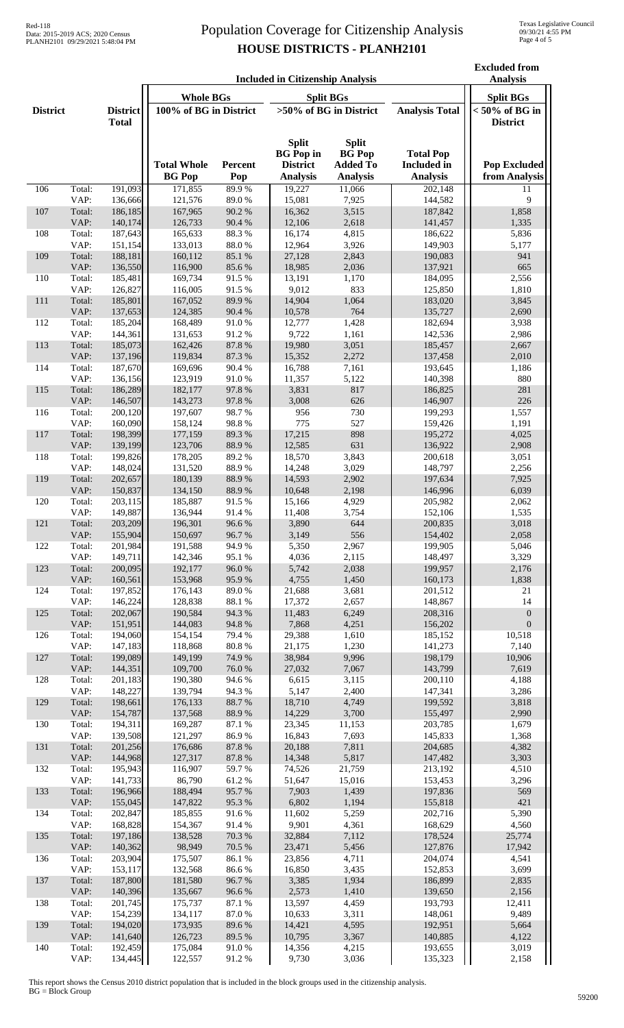**Excluded from** 

|                 | <b>Included in Citizenship Analysis</b> |                                 |                                     |                 |                                                                        |                                                                     | <b>Analysis</b>                                           |                                      |
|-----------------|-----------------------------------------|---------------------------------|-------------------------------------|-----------------|------------------------------------------------------------------------|---------------------------------------------------------------------|-----------------------------------------------------------|--------------------------------------|
|                 |                                         |                                 | <b>Whole BGs</b>                    |                 | <b>Split BGs</b>                                                       |                                                                     |                                                           | <b>Split BGs</b>                     |
| <b>District</b> |                                         | <b>District</b><br><b>Total</b> | 100% of BG in District              |                 | >50% of BG in District                                                 |                                                                     | <b>Analysis Total</b>                                     | $< 50\%$ of BG in<br><b>District</b> |
|                 |                                         |                                 | <b>Total Whole</b><br><b>BG</b> Pop | Percent<br>Pop  | <b>Split</b><br><b>BG</b> Pop in<br><b>District</b><br><b>Analysis</b> | <b>Split</b><br><b>BG</b> Pop<br><b>Added To</b><br><b>Analysis</b> | <b>Total Pop</b><br><b>Included</b> in<br><b>Analysis</b> | <b>Pop Excluded</b><br>from Analysis |
| 106             | Total:                                  | 191,093                         | 171,855                             | 89.9%           | 19,227                                                                 | 11,066                                                              | 202,148                                                   | 11                                   |
|                 | VAP:                                    | 136,666<br>186,185              | 121,576<br>167,965                  | 89.0%<br>90.2%  | 15,081<br>16,362                                                       | 7,925<br>3,515                                                      | 144,582                                                   | 9<br>1,858                           |
| 107             | Total:<br>VAP:                          | 140,174                         | 126,733                             | 90.4%           | 12,106                                                                 | 2,618                                                               | 187,842<br>141,457                                        | 1,335                                |
| 108             | Total:                                  | 187,643                         | 165,633                             | 88.3%           | 16,174                                                                 | 4,815                                                               | 186,622                                                   | 5,836                                |
| 109             | VAP:<br>Total:                          | 151,154<br>188,181              | 133,013<br>160,112                  | 88.0%<br>85.1 % | 12,964<br>27,128                                                       | 3,926                                                               | 149,903                                                   | 5,177<br>941                         |
|                 | VAP:                                    | 136,550                         | 116,900                             | 85.6%           | 18,985                                                                 | 2,843<br>2,036                                                      | 190,083<br>137,921                                        | 665                                  |
| 110             | Total:                                  | 185,481                         | 169,734                             | 91.5%           | 13,191                                                                 | 1,170                                                               | 184,095                                                   | 2,556                                |
|                 | VAP:                                    | 126,827                         | 116,005                             | 91.5%           | 9,012                                                                  | 833                                                                 | 125,850                                                   | 1,810                                |
| 111             | Total:<br>VAP:                          | 185,801<br>137,653              | 167,052<br>124,385                  | 89.9%<br>90.4%  | 14,904<br>10,578                                                       | 1,064<br>764                                                        | 183,020<br>135,727                                        | 3,845<br>2,690                       |
| 112             | Total:                                  | 185,204                         | 168,489                             | 91.0%           | 12,777                                                                 | 1,428                                                               | 182,694                                                   | 3,938                                |
|                 | VAP:                                    | 144,361                         | 131,653                             | 91.2%           | 9,722                                                                  | 1,161                                                               | 142,536                                                   | 2,986                                |
| 113             | Total:<br>VAP:                          | 185,073<br>137,196              | 162,426<br>119,834                  | 87.8%<br>87.3%  | 19,980<br>15,352                                                       | 3,051<br>2,272                                                      | 185,457<br>137,458                                        | 2,667<br>2,010                       |
| 114             | Total:                                  | 187,670                         | 169,696                             | 90.4 %          | 16,788                                                                 | 7,161                                                               | 193,645                                                   | 1,186                                |
|                 | VAP:                                    | 136,156                         | 123,919                             | 91.0%           | 11,357                                                                 | 5,122                                                               | 140,398                                                   | 880                                  |
| 115             | Total:                                  | 186,289                         | 182,177                             | 97.8%           | 3,831                                                                  | 817                                                                 | 186,825                                                   | 281                                  |
| 116             | VAP:<br>Total:                          | 146,507<br>200,120              | 143,273<br>197,607                  | 97.8%<br>98.7%  | 3,008<br>956                                                           | 626<br>730                                                          | 146,907<br>199,293                                        | 226<br>1,557                         |
|                 | VAP:                                    | 160,090                         | 158,124                             | 98.8%           | 775                                                                    | 527                                                                 | 159,426                                                   | 1,191                                |
| 117             | Total:                                  | 198,399                         | 177,159                             | 89.3%           | 17,215                                                                 | 898                                                                 | 195,272                                                   | 4,025                                |
|                 | VAP:                                    | 139,199                         | 123,706                             | 88.9%           | 12,585                                                                 | 631                                                                 | 136,922                                                   | 2,908                                |
| 118             | Total:<br>VAP:                          | 199,826<br>148,024              | 178,205<br>131,520                  | 89.2%<br>88.9%  | 18,570<br>14,248                                                       | 3,843<br>3,029                                                      | 200,618<br>148,797                                        | 3,051<br>2,256                       |
| 119             | Total:                                  | 202,657                         | 180,139                             | 88.9%           | 14,593                                                                 | 2,902                                                               | 197,634                                                   | 7,925                                |
|                 | VAP:                                    | 150,837                         | 134,150                             | 88.9%           | 10,648                                                                 | 2,198                                                               | 146,996                                                   | 6,039                                |
| 120             | Total:<br>VAP:                          | 203,115<br>149,887              | 185,887<br>136,944                  | 91.5%<br>91.4%  | 15,166<br>11,408                                                       | 4,929<br>3,754                                                      | 205,982<br>152,106                                        | 2,062<br>1,535                       |
| 121             | Total:                                  | 203,209                         | 196,301                             | 96.6%           | 3,890                                                                  | 644                                                                 | 200,835                                                   | 3,018                                |
|                 | VAP:                                    | 155,904                         | 150,697                             | 96.7%           | 3,149                                                                  | 556                                                                 | 154,402                                                   | 2,058                                |
| 122             | Total:<br>VAP:                          | 201,984<br>149,711              | 191,588<br>142,346                  | 94.9%<br>95.1 % | 5,350<br>4,036                                                         | 2,967<br>2,115                                                      | 199,905<br>148,497                                        | 5,046<br>3,329                       |
| 123             | Total:                                  | 200,095                         | 192,177                             | 96.0%           | 5,742                                                                  | 2,038                                                               | 199,957                                                   | 2,176                                |
|                 | VAP:                                    | 160,561                         | 153,968                             | 95.9%           | 4,755                                                                  | 1,450                                                               | 160,173                                                   | 1,838                                |
| 124             | Total:                                  | 197,852                         | 176,143                             | 89.0%           | 21,688                                                                 | 3,681                                                               | 201,512                                                   | 21                                   |
| 125             | VAP:<br>Total:                          | 146,224<br>202,067              | 128,838<br>190,584                  | 88.1%<br>94.3 % | 17,372<br>11,483                                                       | 2,657<br>6,249                                                      | 148,867<br>208,316                                        | 14<br>$\boldsymbol{0}$               |
|                 | VAP:                                    | 151,951                         | 144,083                             | 94.8%           | 7,868                                                                  | 4,251                                                               | 156,202                                                   | $\mathbf{0}$                         |
| 126             | Total:                                  | 194,060                         | 154,154                             | 79.4 %          | 29,388                                                                 | 1,610                                                               | 185,152                                                   | 10,518                               |
| 127             | VAP:<br>Total:                          | 147,183<br>199,089              | 118,868<br>149,199                  | 80.8%<br>74.9%  | 21,175<br>38,984                                                       | 1,230<br>9,996                                                      | 141,273<br>198,179                                        | 7,140<br>10,906                      |
|                 | VAP:                                    | 144,351                         | 109,700                             | 76.0%           | 27,032                                                                 | 7,067                                                               | 143,799                                                   | 7,619                                |
| 128             | Total:                                  | 201,183                         | 190,380                             | 94.6%           | 6,615                                                                  | 3,115                                                               | 200,110                                                   | 4,188                                |
|                 | VAP:                                    | 148,227                         | 139,794                             | 94.3%           | 5,147                                                                  | 2,400                                                               | 147,341                                                   | 3,286                                |
| 129             | Total:<br>VAP:                          | 198,661<br>154,787              | 176,133<br>137,568                  | 88.7%<br>88.9%  | 18,710<br>14,229                                                       | 4,749<br>3,700                                                      | 199,592<br>155,497                                        | 3,818<br>2,990                       |
| 130             | Total:                                  | 194,311                         | 169,287                             | 87.1 %          | 23,345                                                                 | 11,153                                                              | 203,785                                                   | 1,679                                |
|                 | VAP:                                    | 139,508                         | 121,297                             | 86.9%           | 16,843                                                                 | 7,693                                                               | 145,833                                                   | 1,368                                |
| 131             | Total:<br>VAP:                          | 201,256<br>144,968              | 176,686<br>127,317                  | 87.8%<br>87.8 % | 20,188<br>14,348                                                       | 7,811<br>5,817                                                      | 204,685<br>147,482                                        | 4,382<br>3,303                       |
| 132             | Total:                                  | 195,943                         | 116,907                             | 59.7%           | 74,526                                                                 | 21,759                                                              | 213,192                                                   | 4,510                                |
|                 | VAP:                                    | 141,733                         | 86,790                              | 61.2%           | 51,647                                                                 | 15,016                                                              | 153,453                                                   | 3,296                                |
| 133             | Total:                                  | 196,966                         | 188,494                             | 95.7%           | 7,903                                                                  | 1,439                                                               | 197,836                                                   | 569                                  |
| 134             | VAP:<br>Total:                          | 155,045<br>202,847              | 147,822<br>185,855                  | 95.3%<br>91.6%  | 6,802<br>11,602                                                        | 1,194<br>5,259                                                      | 155,818<br>202,716                                        | 421<br>5,390                         |
|                 | VAP:                                    | 168,828                         | 154,367                             | 91.4%           | 9,901                                                                  | 4,361                                                               | 168,629                                                   | 4,560                                |
| 135             | Total:                                  | 197,186                         | 138,528                             | 70.3 %          | 32,884                                                                 | 7,112                                                               | 178,524                                                   | 25,774                               |
| 136             | VAP:<br>Total:                          | 140,362<br>203,904              | 98,949<br>175,507                   | 70.5 %<br>86.1% | 23,471<br>23,856                                                       | 5,456<br>4,711                                                      | 127,876<br>204,074                                        | 17,942<br>4,541                      |
|                 | VAP:                                    | 153,117                         | 132,568                             | 86.6%           | 16,850                                                                 | 3,435                                                               | 152,853                                                   | 3,699                                |
| 137             | Total:                                  | 187,800                         | 181,580                             | 96.7%           | 3,385                                                                  | 1,934                                                               | 186,899                                                   | 2,835                                |
| 138             | VAP:<br>Total:                          | 140,396<br>201,745              | 135,667<br>175,737                  | 96.6%<br>87.1 % | 2,573<br>13,597                                                        | 1,410<br>4,459                                                      | 139,650<br>193,793                                        | 2,156<br>12,411                      |
|                 | VAP:                                    | 154,239                         | 134,117                             | 87.0%           | 10,633                                                                 | 3,311                                                               | 148,061                                                   | 9,489                                |
| 139             | Total:                                  | 194,020                         | 173,935                             | 89.6%           | 14,421                                                                 | 4,595                                                               | 192,951                                                   | 5,664                                |
| 140             | VAP:<br>Total:                          | 141,640<br>192,459              | 126,723<br>175,084                  | 89.5%<br>91.0%  | 10,795<br>14,356                                                       | 3,367                                                               | 140,885<br>193,655                                        | 4,122<br>3,019                       |
|                 | VAP:                                    | 134,445                         | 122,557                             | 91.2%           | 9,730                                                                  | 4,215<br>3,036                                                      | 135,323                                                   | 2,158                                |